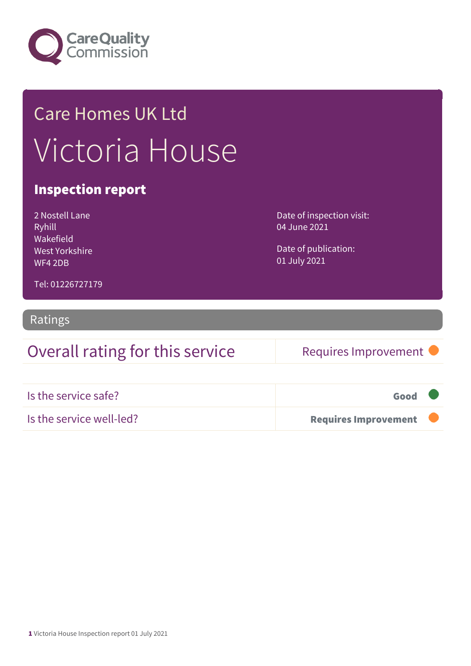

## Care Homes UK Ltd Victoria House

#### Inspection report

| 2 Nostell Lane |
|----------------|
| Ryhill         |
| Wakefield      |
| West Yorkshire |
| WF4 2DB        |

Date of inspection visit: 04 June 2021

Date of publication: 01 July 2021

Tel: 01226727179

#### Ratings

## Overall rating for this service Requires Improvement

| Is the service safe?     | Good                        |  |
|--------------------------|-----------------------------|--|
| Is the service well-led? | <b>Requires Improvement</b> |  |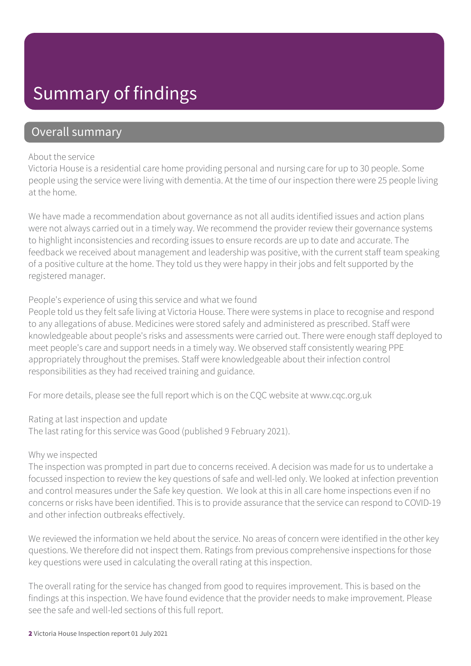## Summary of findings

#### Overall summary

#### About the service

Victoria House is a residential care home providing personal and nursing care for up to 30 people. Some people using the service were living with dementia. At the time of our inspection there were 25 people living at the home.

We have made a recommendation about governance as not all audits identified issues and action plans were not always carried out in a timely way. We recommend the provider review their governance systems to highlight inconsistencies and recording issues to ensure records are up to date and accurate. The feedback we received about management and leadership was positive, with the current staff team speaking of a positive culture at the home. They told us they were happy in their jobs and felt supported by the registered manager.

#### People's experience of using this service and what we found

People told us they felt safe living at Victoria House. There were systems in place to recognise and respond to any allegations of abuse. Medicines were stored safely and administered as prescribed. Staff were knowledgeable about people's risks and assessments were carried out. There were enough staff deployed to meet people's care and support needs in a timely way. We observed staff consistently wearing PPE appropriately throughout the premises. Staff were knowledgeable about their infection control responsibilities as they had received training and guidance.

For more details, please see the full report which is on the CQC website at www.cqc.org.uk

Rating at last inspection and update

The last rating for this service was Good (published 9 February 2021).

#### Why we inspected

The inspection was prompted in part due to concerns received. A decision was made for us to undertake a focussed inspection to review the key questions of safe and well-led only. We looked at infection prevention and control measures under the Safe key question. We look at this in all care home inspections even if no concerns or risks have been identified. This is to provide assurance that the service can respond to COVID-19 and other infection outbreaks effectively.

We reviewed the information we held about the service. No areas of concern were identified in the other key questions. We therefore did not inspect them. Ratings from previous comprehensive inspections for those key questions were used in calculating the overall rating at this inspection.

The overall rating for the service has changed from good to requires improvement. This is based on the findings at this inspection. We have found evidence that the provider needs to make improvement. Please see the safe and well-led sections of this full report.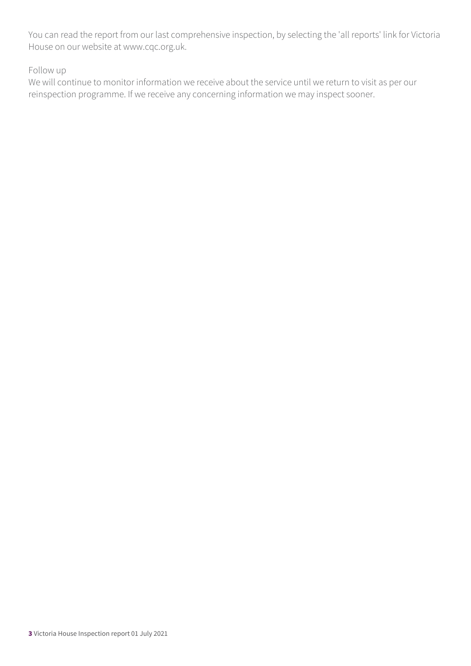You can read the report from our last comprehensive inspection, by selecting the 'all reports' link for Victoria House on our website at www.cqc.org.uk.

Follow up

We will continue to monitor information we receive about the service until we return to visit as per our reinspection programme. If we receive any concerning information we may inspect sooner.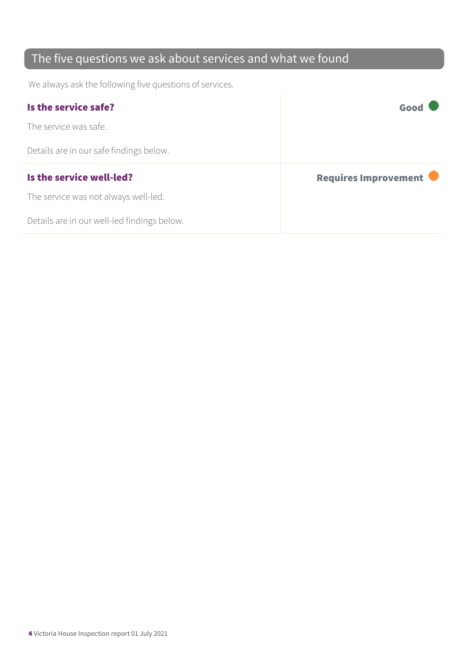### The five questions we ask about services and what we found

We always ask the following five questions of services.

| Is the service safe?                    | Good                 |
|-----------------------------------------|----------------------|
| The service was safe.                   |                      |
| Details are in our safe findings below. |                      |
|                                         |                      |
| Is the service well-led?                | Requires Improvement |
| The service was not always well-led.    |                      |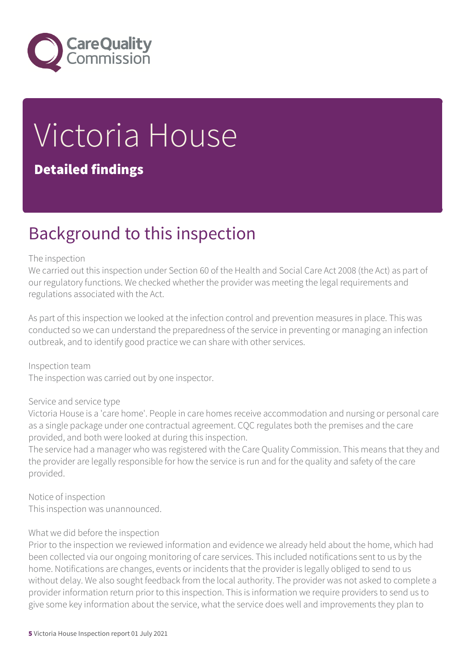

# Victoria House

#### Detailed findings

## Background to this inspection

#### The inspection

We carried out this inspection under Section 60 of the Health and Social Care Act 2008 (the Act) as part of our regulatory functions. We checked whether the provider was meeting the legal requirements and regulations associated with the Act.

As part of this inspection we looked at the infection control and prevention measures in place. This was conducted so we can understand the preparedness of the service in preventing or managing an infection outbreak, and to identify good practice we can share with other services.

Inspection team The inspection was carried out by one inspector.

#### Service and service type

Victoria House is a 'care home'. People in care homes receive accommodation and nursing or personal care as a single package under one contractual agreement. CQC regulates both the premises and the care provided, and both were looked at during this inspection.

The service had a manager who was registered with the Care Quality Commission. This means that they and the provider are legally responsible for how the service is run and for the quality and safety of the care provided.

Notice of inspection This inspection was unannounced.

#### What we did before the inspection

Prior to the inspection we reviewed information and evidence we already held about the home, which had been collected via our ongoing monitoring of care services. This included notifications sent to us by the home. Notifications are changes, events or incidents that the provider is legally obliged to send to us without delay. We also sought feedback from the local authority. The provider was not asked to complete a provider information return prior to this inspection. This is information we require providers to send us to give some key information about the service, what the service does well and improvements they plan to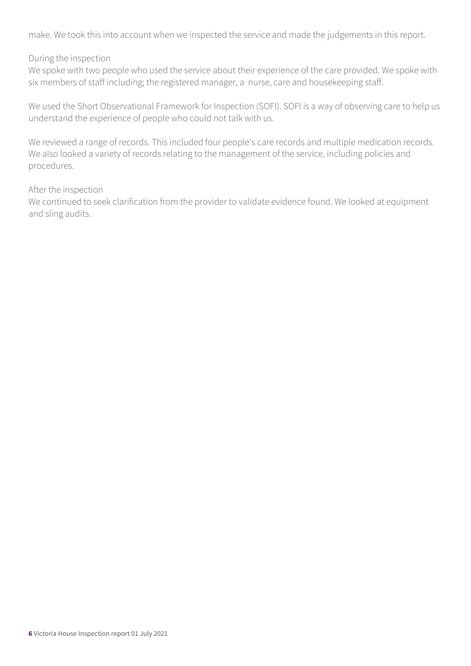make. We took this into account when we inspected the service and made the judgements in this report.

#### During the inspection

We spoke with two people who used the service about their experience of the care provided. We spoke with six members of staff including; the registered manager, a nurse, care and housekeeping staff.

We used the Short Observational Framework for Inspection (SOFI). SOFI is a way of observing care to help us understand the experience of people who could not talk with us.

We reviewed a range of records. This included four people's care records and multiple medication records. We also looked a variety of records relating to the management of the service, including policies and procedures.

#### After the inspection

We continued to seek clarification from the provider to validate evidence found. We looked at equipment and sling audits.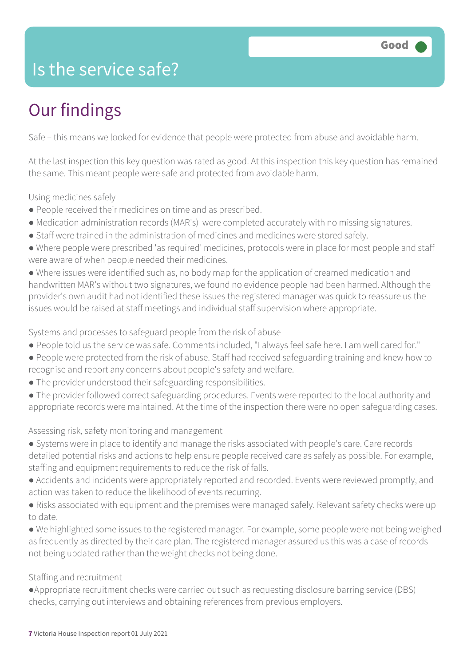## Is the service safe?

## Our findings

Safe – this means we looked for evidence that people were protected from abuse and avoidable harm.

At the last inspection this key question was rated as good. At this inspection this key question has remained the same. This meant people were safe and protected from avoidable harm.

Using medicines safely

- People received their medicines on time and as prescribed.
- Medication administration records (MAR's) were completed accurately with no missing signatures.
- Staff were trained in the administration of medicines and medicines were stored safely.
- Where people were prescribed 'as required' medicines, protocols were in place for most people and staff were aware of when people needed their medicines.

● Where issues were identified such as, no body map for the application of creamed medication and handwritten MAR's without two signatures, we found no evidence people had been harmed. Although the provider's own audit had not identified these issues the registered manager was quick to reassure us the issues would be raised at staff meetings and individual staff supervision where appropriate.

Systems and processes to safeguard people from the risk of abuse

- People told us the service was safe. Comments included, "I always feel safe here. I am well cared for."
- People were protected from the risk of abuse. Staff had received safeguarding training and knew how to recognise and report any concerns about people's safety and welfare.
- The provider understood their safeguarding responsibilities.
- The provider followed correct safeguarding procedures. Events were reported to the local authority and appropriate records were maintained. At the time of the inspection there were no open safeguarding cases.

Assessing risk, safety monitoring and management

- Systems were in place to identify and manage the risks associated with people's care. Care records detailed potential risks and actions to help ensure people received care as safely as possible. For example, staffing and equipment requirements to reduce the risk of falls.
- Accidents and incidents were appropriately reported and recorded. Events were reviewed promptly, and action was taken to reduce the likelihood of events recurring.
- Risks associated with equipment and the premises were managed safely. Relevant safety checks were up to date.
- We highlighted some issues to the registered manager. For example, some people were not being weighed as frequently as directed by their care plan. The registered manager assured us this was a case of records not being updated rather than the weight checks not being done.

#### Staffing and recruitment

●Appropriate recruitment checks were carried out such as requesting disclosure barring service (DBS) checks, carrying out interviews and obtaining references from previous employers.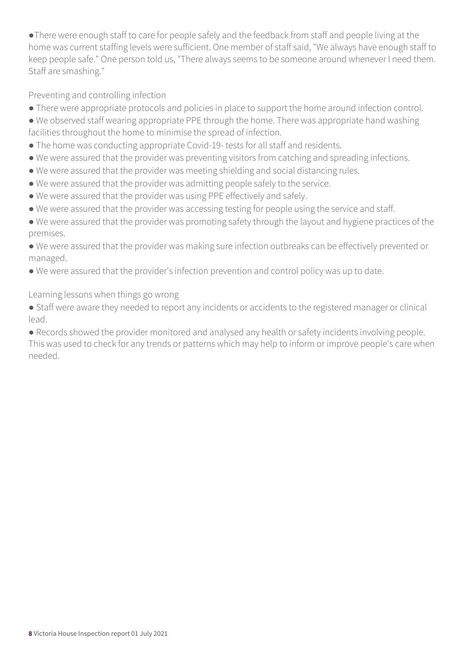●There were enough staff to care for people safely and the feedback from staff and people living at the home was current staffing levels were sufficient. One member of staff said, "We always have enough staff to keep people safe." One person told us, "There always seems to be someone around whenever I need them. Staff are smashing."

Preventing and controlling infection

- There were appropriate protocols and policies in place to support the home around infection control.
- We observed staff wearing appropriate PPE through the home. There was appropriate hand washing facilities throughout the home to minimise the spread of infection.
- The home was conducting appropriate Covid-19- tests for all staff and residents.
- We were assured that the provider was preventing visitors from catching and spreading infections.
- We were assured that the provider was meeting shielding and social distancing rules.
- We were assured that the provider was admitting people safely to the service.
- We were assured that the provider was using PPE effectively and safely.
- We were assured that the provider was accessing testing for people using the service and staff.
- We were assured that the provider was promoting safety through the layout and hygiene practices of the premises.
- We were assured that the provider was making sure infection outbreaks can be effectively prevented or managed.
- We were assured that the provider's infection prevention and control policy was up to date.

Learning lessons when things go wrong

● Staff were aware they needed to report any incidents or accidents to the registered manager or clinical lead.

● Records showed the provider monitored and analysed any health or safety incidents involving people. This was used to check for any trends or patterns which may help to inform or improve people's care when needed.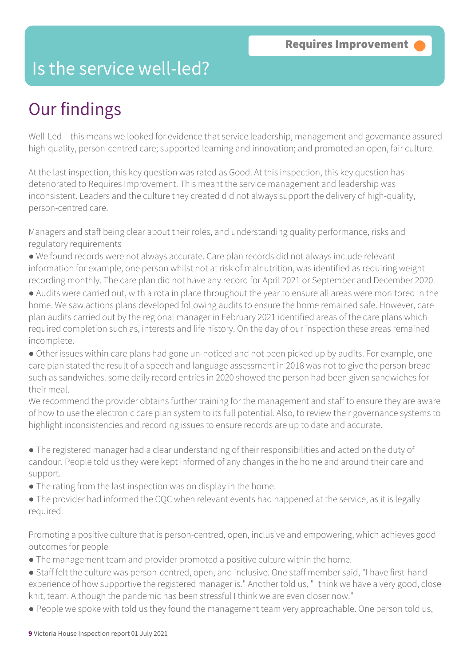## Is the service well-led?

## Our findings

Well-Led – this means we looked for evidence that service leadership, management and governance assured high-quality, person-centred care; supported learning and innovation; and promoted an open, fair culture.

At the last inspection, this key question was rated as Good. At this inspection, this key question has deteriorated to Requires Improvement. This meant the service management and leadership was inconsistent. Leaders and the culture they created did not always support the delivery of high-quality, person-centred care.

Managers and staff being clear about their roles, and understanding quality performance, risks and regulatory requirements

- We found records were not always accurate. Care plan records did not always include relevant information for example, one person whilst not at risk of malnutrition, was identified as requiring weight recording monthly. The care plan did not have any record for April 2021 or September and December 2020.
- Audits were carried out, with a rota in place throughout the year to ensure all areas were monitored in the home. We saw actions plans developed following audits to ensure the home remained safe. However, care plan audits carried out by the regional manager in February 2021 identified areas of the care plans which required completion such as, interests and life history. On the day of our inspection these areas remained incomplete.
- Other issues within care plans had gone un-noticed and not been picked up by audits. For example, one care plan stated the result of a speech and language assessment in 2018 was not to give the person bread such as sandwiches. some daily record entries in 2020 showed the person had been given sandwiches for their meal.

We recommend the provider obtains further training for the management and staff to ensure they are aware of how to use the electronic care plan system to its full potential. Also, to review their governance systems to highlight inconsistencies and recording issues to ensure records are up to date and accurate.

- The registered manager had a clear understanding of their responsibilities and acted on the duty of candour. People told us they were kept informed of any changes in the home and around their care and support.
- The rating from the last inspection was on display in the home.
- The provider had informed the COC when relevant events had happened at the service, as it is legally required.

Promoting a positive culture that is person-centred, open, inclusive and empowering, which achieves good outcomes for people

- The management team and provider promoted a positive culture within the home.
- Staff felt the culture was person-centred, open, and inclusive. One staff member said, "I have first-hand experience of how supportive the registered manager is." Another told us, "I think we have a very good, close knit, team. Although the pandemic has been stressful I think we are even closer now."
- People we spoke with told us they found the management team very approachable. One person told us,